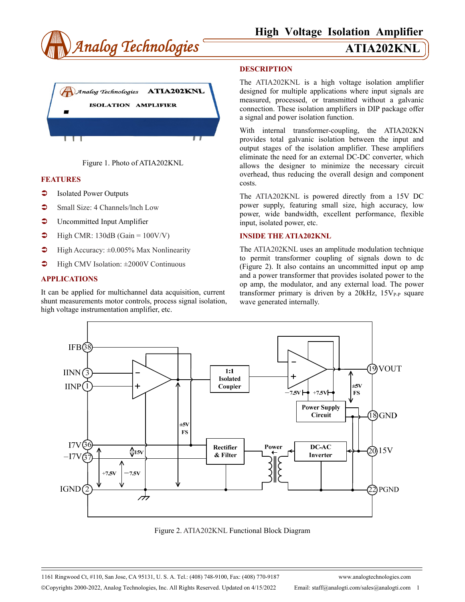



Figure 1. Photo of ATIA202KNL

## **FEATURES**

- $\bullet$  Isolated Power Outputs
- Small Size: 4 Channels/Inch Low
- **C** Uncommitted Input Amplifier
- $\blacktriangleright$  High CMR: 130dB (Gain = 100V/V)
- $\blacktriangleright$  High Accuracy:  $\pm 0.005\%$  Max Nonlinearity
- $\blacktriangleright$  High CMV Isolation:  $\pm 2000V$  Continuous

## **APPLICATIONS**

It can be applied for multichannel data acquisition, current shunt measurements motor controls, process signal isolation, high voltage instrumentation amplifier, etc.

### **DESCRIPTION**

The ATIA202KNL is a high voltage isolation amplifier designed for multiple applications where input signals are measured, processed, or transmitted without a galvanic connection. These isolation amplifiers in DIP package offer a signal and power isolation function.

With internal transformer-coupling, the ATIA202KN provides total galvanic isolation between the input and output stages of the isolation amplifier. These amplifiers eliminate the need for an external DC-DC converter, which allows the designer to minimize the necessary circuit overhead, thus reducing the overall design and component costs.

The ATIA202KNL is powered directly from a 15V DC power supply, featuring small size, high accuracy, low power, wide bandwidth, excellent performance, flexible input, isolated power, etc.

### **INSIDE THE ATIA202KNL**

The ATIA202KNL uses an amplitude modulation technique to permit transformer coupling of signals down to dc (Figure 2). It also contains an uncommitted input op amp and a power transformer that provides isolated power to the op amp, the modulator, and any external load. The power transformer primary is driven by a  $20kHz$ ,  $15V_{P-P}$  square wave generated internally.



Figure 2. ATIA202KNL Functional Block Diagram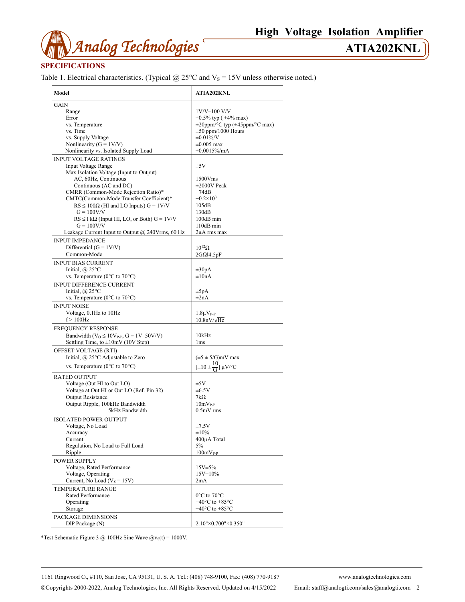

## **SPECIFICATIONS**

Table 1. Electrical characteristics. (Typical  $@$  25°C and  $V_s = 15V$  unless otherwise noted.)

| Model                                                         | <b>ATIA202KNL</b>                          |
|---------------------------------------------------------------|--------------------------------------------|
| GAIN                                                          |                                            |
| Range                                                         | 1V/V-100 V/V                               |
| Error                                                         | $\pm 0.5\%$ typ ( $\pm 4\%$ max)           |
| vs. Temperature                                               | $\pm 20$ ppm/°C typ ( $\pm 45$ ppm/°C max) |
| vs. Time                                                      | $\pm 50$ ppm/1000 Hours                    |
| vs. Supply Voltage                                            | $\pm 0.01\%$ /V                            |
| Nonlinearity ( $G = 1V/V$ )                                   | $\pm 0.005$ max                            |
| Nonlinearity vs. Isolated Supply Load                         | $\pm 0.0015\%$ /mA                         |
| <b>INPUT VOLTAGE RATINGS</b>                                  |                                            |
| <b>Input Voltage Range</b>                                    | $\pm 5V$                                   |
| Max Isolation Voltage (Input to Output)                       |                                            |
| AC, 60Hz, Continuous                                          | 1500Vms                                    |
|                                                               |                                            |
| Continuous (AC and DC)<br>CMRR (Common-Mode Rejection Ratio)* | $\pm 2000V$ Peak<br>$-74dB$                |
|                                                               |                                            |
| CMTC(Common-Mode Transfer Coefficient)*                       | $-0.2 \times 10^{3}$                       |
| $RS \le 100\Omega$ (HI and LO Inputs) $G = 1 \text{V/V}$      | 105dB                                      |
| $G = 100V/V$                                                  | 130dB                                      |
| $RS \leq 1 k\Omega$ (Input HI, LO, or Both) $G = 1 V/V$       | 100dB min                                  |
| $G = 100V/V$                                                  | 110dB min                                  |
| Leakage Current Input to Output $@$ 240Vrms, 60 Hz            | $2\mu A$ rms max                           |
| <b>INPUT IMPEDANCE</b>                                        |                                            |
| Differential $(G = 1V/V)$                                     | $10^{12} \Omega$                           |
| Common-Mode                                                   | $2G\Omega$ <sup>[4.5pF</sup>               |
| <b>INPUT BIAS CURRENT</b>                                     |                                            |
| Initial, $(a)$ 25°C                                           | $\pm 30pA$                                 |
| vs. Temperature (0°C to 70°C)                                 | $\pm 10nA$                                 |
|                                                               |                                            |
| <b>INPUT DIFFERENCE CURRENT</b>                               |                                            |
| Initial, $\omega$ 25°C                                        | $\pm 5pA$                                  |
| vs. Temperature ( $0^{\circ}$ C to $70^{\circ}$ C)            | $\pm 2nA$                                  |
| <b>INPUT NOISE</b>                                            |                                            |
| Voltage, 0.1Hz to 10Hz                                        | $1.8\mu V_{P-P}$                           |
| $f > 100$ Hz                                                  | $10.8nV/\sqrt{Hz}$                         |
| <b>FREQUENCY RESPONSE</b>                                     |                                            |
| Bandwidth ( $V_0 \le 10V_{P-P}$ , G = 1V-50V/V)               | 10kHz                                      |
| Settling Time, to $\pm 10$ mV (10V Step)                      | 1 <sub>ms</sub>                            |
| OFFSET VOLTAGE (RTI)                                          |                                            |
| Initial, @ 25°C Adjustable to Zero                            | $(\pm 5 \pm 5/\text{G})$ mV max            |
|                                                               |                                            |
| vs. Temperature ( $0^{\circ}$ C to $70^{\circ}$ C)            | $[\pm 10 \pm \frac{10}{G}] \mu V$ /°C      |
| <b>RATED OUTPUT</b>                                           |                                            |
| Voltage (Out HI to Out LO)                                    | $\pm$ 5V                                   |
| Voltage at Out HI or Out LO (Ref. Pin 32)                     | $\pm 6.5V$                                 |
| <b>Output Resistance</b>                                      | $7k\Omega$                                 |
| Output Ripple, 100kHz Bandwidth                               | $10mVP-P$                                  |
| 5kHz Bandwidth                                                | $0.5mV$ rms                                |
|                                                               |                                            |
| <b>ISOLATED POWER OUTPUT</b>                                  |                                            |
| Voltage, No Load                                              | $\pm 7.5V$                                 |
| Accuracy                                                      | $\pm 10\%$                                 |
| Current                                                       | 400µA Total                                |
| Regulation, No Load to Full Load                              | 5%                                         |
| Ripple                                                        | $100mV_{P-P}$                              |
| <b>POWER SUPPLY</b>                                           |                                            |
| Voltage, Rated Performance                                    | 15V±5%                                     |
| Voltage, Operating                                            | $15V \pm 10\%$                             |
| Current, No Load ( $V_s = 15V$ )                              | 2mA                                        |
| <b>TEMPERATURE RANGE</b>                                      |                                            |
| Rated Performance                                             | $0^{\circ}$ C to $70^{\circ}$ C            |
| Operating                                                     | $-40^{\circ}$ C to $+85^{\circ}$ C         |
| Storage                                                       | $-40^{\circ}$ C to $+85^{\circ}$ C         |
|                                                               |                                            |
| PACKAGE DIMENSIONS                                            |                                            |
| DIP Package (N)                                               | 2.10"×0.700"×0.350"                        |

\*Test Schematic Figure 3 @ 100Hz Sine Wave  $\omega_{\text{vs}}(t) = 1000V$ .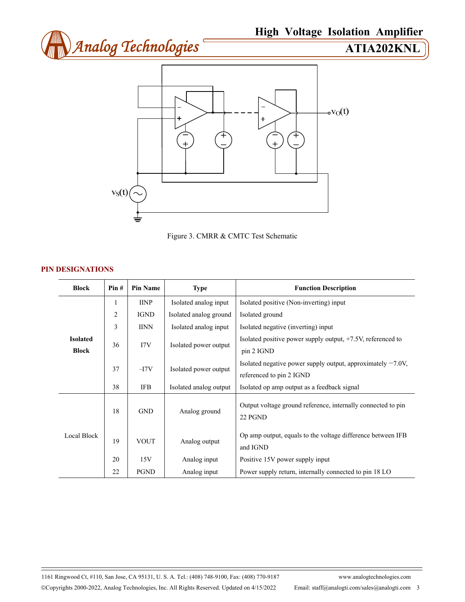



Figure 3. CMRR & CMTC Test Schematic

## **PIN DESIGNATIONS**

| <b>Block</b>                    | Pin#           | <b>Pin Name</b> | <b>Type</b>            | <b>Function Description</b>                                                                |
|---------------------------------|----------------|-----------------|------------------------|--------------------------------------------------------------------------------------------|
| <b>Isolated</b><br><b>Block</b> | 1              | <b>IINP</b>     | Isolated analog input  | Isolated positive (Non-inverting) input                                                    |
|                                 | $\overline{2}$ | <b>IGND</b>     | Isolated analog ground | Isolated ground                                                                            |
|                                 | 3              | <b>IINN</b>     | Isolated analog input  | Isolated negative (inverting) input                                                        |
|                                 | 36             | 17V             | Isolated power output  | Isolated positive power supply output, $+7.5V$ , referenced to<br>pin 2 IGND               |
|                                 | 37             | $-I7V$          | Isolated power output  | Isolated negative power supply output, approximately $-7.0V$ ,<br>referenced to pin 2 IGND |
|                                 | 38             | <b>IFB</b>      | Isolated analog output | Isolated op amp output as a feedback signal                                                |
| Local Block                     | 18             | <b>GND</b>      | Analog ground          | Output voltage ground reference, internally connected to pin<br>22 PGND                    |
|                                 | 19             | <b>VOUT</b>     | Analog output          | Op amp output, equals to the voltage difference between IFB<br>and IGND                    |
|                                 | 20             | 15V             | Analog input           | Positive 15V power supply input                                                            |
|                                 | 22             | <b>PGND</b>     | Analog input           | Power supply return, internally connected to pin 18 LO                                     |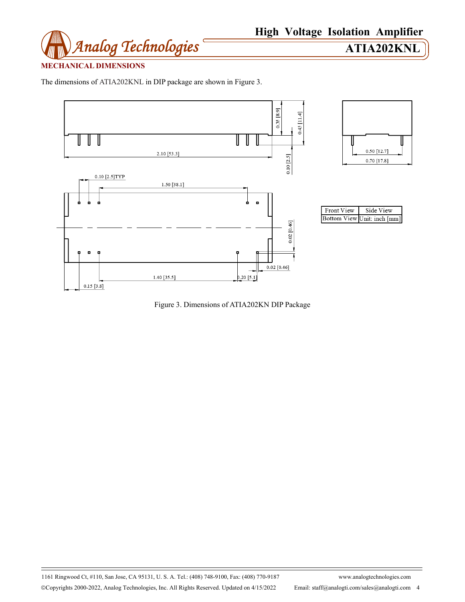

# **MECHANICAL DIMENSIONS**

The dimensions of ATIA202KNL in DIP package are shown in Figure 3.



Figure 3. Dimensions of ATIA202KN DIP Package